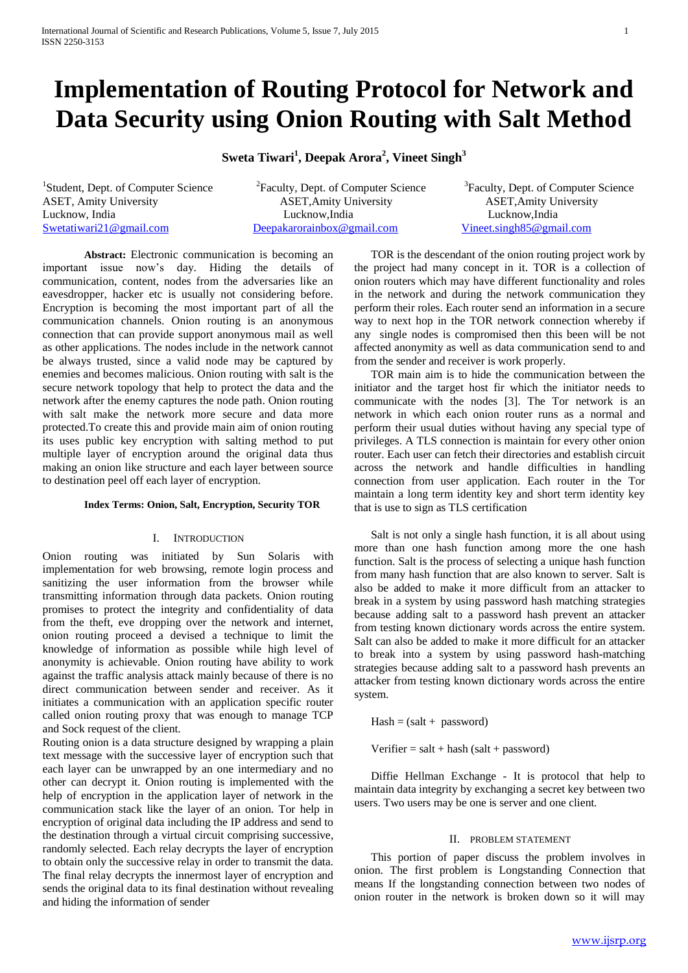# **Implementation of Routing Protocol for Network and Data Security using Onion Routing with Salt Method**

**Sweta Tiwari<sup>1</sup> , Deepak Arora<sup>2</sup> , Vineet Singh<sup>3</sup>**

<sup>1</sup>Student, Dept. of Computer Science

<sup>2</sup> Faculty, Dept. of Computer Science ASET, Amity University ASET,Amity University ASET,Amity University Lucknow, India Lucknow, India Lucknow, India Lucknow, India Lucknow, India Lucknow, India Lucknow, India Lucknow, India Lucknow, India Lucknow, India Lucknow, India Lucknow, India Lucknow, India Lucknow, India Lucknow, Ind [Swetatiwari21@gmail.com](mailto:Swetatiwari21@gmail.com) [Deepakarorainbox@gmail.com](mailto:Deepakarorainbox@gmail.com) [Vineet.singh85@gmail.com](mailto:Vineet.singh85@gmail.com) 

<sup>3</sup> Faculty, Dept. of Computer Science

**Abstract:** Electronic communication is becoming an important issue now's day. Hiding the details of communication, content, nodes from the adversaries like an eavesdropper, hacker etc is usually not considering before. Encryption is becoming the most important part of all the communication channels. Onion routing is an anonymous connection that can provide support anonymous mail as well as other applications. The nodes include in the network cannot be always trusted, since a valid node may be captured by enemies and becomes malicious. Onion routing with salt is the secure network topology that help to protect the data and the network after the enemy captures the node path. Onion routing with salt make the network more secure and data more protected.To create this and provide main aim of onion routing its uses public key encryption with salting method to put multiple layer of encryption around the original data thus making an onion like structure and each layer between source to destination peel off each layer of encryption.

## **Index Terms: Onion, Salt, Encryption, Security TOR**

# I. INTRODUCTION

Onion routing was initiated by Sun Solaris with implementation for web browsing, remote login process and sanitizing the user information from the browser while transmitting information through data packets. Onion routing promises to protect the integrity and confidentiality of data from the theft, eve dropping over the network and internet, onion routing proceed a devised a technique to limit the knowledge of information as possible while high level of anonymity is achievable. Onion routing have ability to work against the traffic analysis attack mainly because of there is no direct communication between sender and receiver. As it initiates a communication with an application specific router called onion routing proxy that was enough to manage TCP and Sock request of the client.

Routing onion is a data structure designed by wrapping a plain text message with the successive layer of encryption such that each layer can be unwrapped by an one intermediary and no other can decrypt it. Onion routing is implemented with the help of encryption in the application layer of network in the communication stack like the layer of an onion. Tor help in encryption of original data including the IP address and send to the destination through a virtual circuit comprising successive, randomly selected. Each relay decrypts the layer of encryption to obtain only the successive relay in order to transmit the data. The final relay decrypts the innermost layer of encryption and sends the original data to its final destination without revealing and hiding the information of sender

TOR is the descendant of the onion routing project work by the project had many concept in it. TOR is a collection of onion routers which may have different functionality and roles in the network and during the network communication they perform their roles. Each router send an information in a secure way to next hop in the TOR network connection whereby if any single nodes is compromised then this been will be not affected anonymity as well as data communication send to and from the sender and receiver is work properly.

TOR main aim is to hide the communication between the initiator and the target host fir which the initiator needs to communicate with the nodes [3]. The Tor network is an network in which each onion router runs as a normal and perform their usual duties without having any special type of privileges. A TLS connection is maintain for every other onion router. Each user can fetch their directories and establish circuit across the network and handle difficulties in handling connection from user application. Each router in the Tor maintain a long term identity key and short term identity key that is use to sign as TLS certification

Salt is not only a single hash function, it is all about using more than one hash function among more the one hash function. Salt is the process of selecting a unique hash function from many hash function that are also known to server. Salt is also be added to make it more difficult from an attacker to break in a system by using password hash matching strategies because adding salt to a password hash prevent an attacker from testing known dictionary words across the entire system. Salt can also be added to make it more difficult for an attacker to break into a system by using password hash-matching strategies because adding salt to a password hash prevents an attacker from testing known dictionary words across the entire system.

 $Hash = (salt + password)$ 

 $Verifier = salt + hash (salt + password)$ 

Diffie Hellman Exchange - It is protocol that help to maintain data integrity by exchanging a secret key between two users. Two users may be one is server and one client.

## II. PROBLEM STATEMENT

This portion of paper discuss the problem involves in onion. The first problem is Longstanding Connection that means If the longstanding connection between two nodes of onion router in the network is broken down so it will may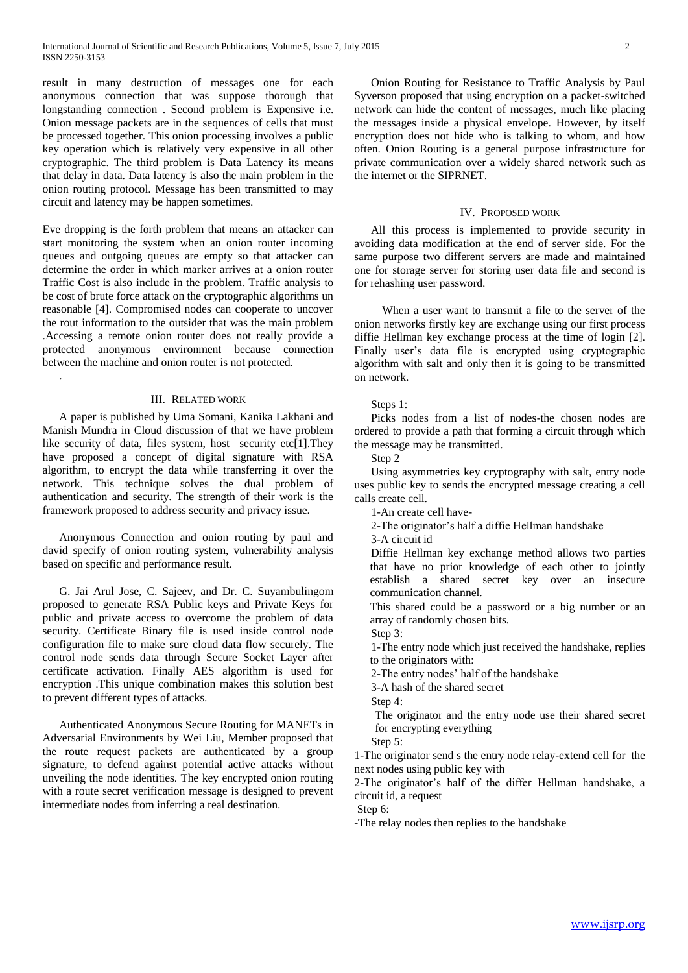result in many destruction of messages one for each anonymous connection that was suppose thorough that longstanding connection . Second problem is Expensive i.e. Onion message packets are in the sequences of cells that must be processed together. This onion processing involves a public key operation which is relatively very expensive in all other cryptographic. The third problem is Data Latency its means that delay in data. Data latency is also the main problem in the onion routing protocol. Message has been transmitted to may circuit and latency may be happen sometimes.

Eve dropping is the forth problem that means an attacker can start monitoring the system when an onion router incoming queues and outgoing queues are empty so that attacker can determine the order in which marker arrives at a onion router Traffic Cost is also include in the problem. Traffic analysis to be cost of brute force attack on the cryptographic algorithms un reasonable [4]. Compromised nodes can cooperate to uncover the rout information to the outsider that was the main problem .Accessing a remote onion router does not really provide a protected anonymous environment because connection between the machine and onion router is not protected.

## III. RELATED WORK

.

A paper is published by Uma Somani, Kanika Lakhani and Manish Mundra in Cloud discussion of that we have problem like security of data, files system, host security etc[1].They have proposed a concept of digital signature with RSA algorithm, to encrypt the data while transferring it over the network. This technique solves the dual problem of authentication and security. The strength of their work is the framework proposed to address security and privacy issue.

Anonymous Connection and onion routing by paul and david specify of onion routing system, vulnerability analysis based on specific and performance result.

G. Jai Arul Jose, C. Sajeev, and Dr. C. Suyambulingom proposed to generate RSA Public keys and Private Keys for public and private access to overcome the problem of data security. Certificate Binary file is used inside control node configuration file to make sure cloud data flow securely. The control node sends data through Secure Socket Layer after certificate activation. Finally AES algorithm is used for encryption .This unique combination makes this solution best to prevent different types of attacks.

Authenticated Anonymous Secure Routing for MANETs in Adversarial Environments by Wei Liu, Member proposed that the route request packets are authenticated by a group signature, to defend against potential active attacks without unveiling the node identities. The key encrypted onion routing with a route secret verification message is designed to prevent intermediate nodes from inferring a real destination.

Onion Routing for Resistance to Traffic Analysis by Paul Syverson proposed that using encryption on a packet-switched network can hide the content of messages, much like placing the messages inside a physical envelope. However, by itself encryption does not hide who is talking to whom, and how often. Onion Routing is a general purpose infrastructure for private communication over a widely shared network such as the internet or the SIPRNET.

#### IV. PROPOSED WORK

All this process is implemented to provide security in avoiding data modification at the end of server side. For the same purpose two different servers are made and maintained one for storage server for storing user data file and second is for rehashing user password.

 When a user want to transmit a file to the server of the onion networks firstly key are exchange using our first process diffie Hellman key exchange process at the time of login [2]. Finally user's data file is encrypted using cryptographic algorithm with salt and only then it is going to be transmitted on network.

#### Steps 1:

Picks nodes from a list of nodes-the chosen nodes are ordered to provide a path that forming a circuit through which the message may be transmitted.

Step 2

Using asymmetries key cryptography with salt, entry node uses public key to sends the encrypted message creating a cell calls create cell.

1-An create cell have-

2-The originator's half a diffie Hellman handshake

3-A circuit id

Diffie Hellman key exchange method allows two parties that have no prior knowledge of each other to jointly establish a shared secret key over an insecure communication channel.

This shared could be a password or a big number or an array of randomly chosen bits.

Step 3:

1-The entry node which just received the handshake, replies to the originators with:

2-The entry nodes' half of the handshake

3-A hash of the shared secret

Step 4:

The originator and the entry node use their shared secret for encrypting everything

Step 5:

1-The originator send s the entry node relay-extend cell for the next nodes using public key with

2-The originator's half of the differ Hellman handshake, a circuit id, a request

Step 6:

-The relay nodes then replies to the handshake